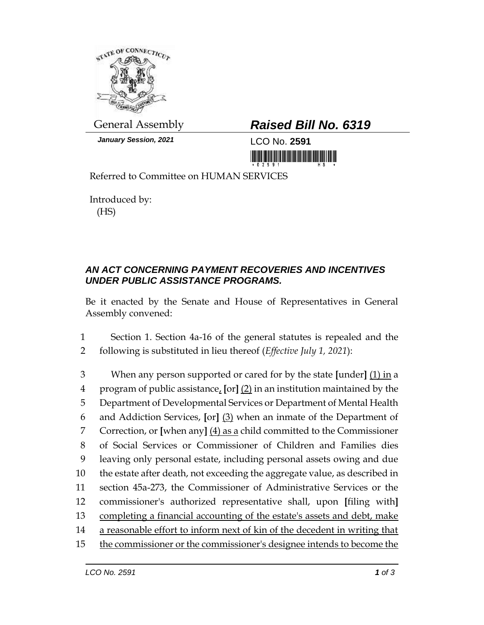

*January Session, 2021* LCO No. **2591**

## General Assembly *Raised Bill No. 6319*

<u>nin kutha kutha manama mainta main</u>

Referred to Committee on HUMAN SERVICES

Introduced by: (HS)

## *AN ACT CONCERNING PAYMENT RECOVERIES AND INCENTIVES UNDER PUBLIC ASSISTANCE PROGRAMS.*

Be it enacted by the Senate and House of Representatives in General Assembly convened:

1 Section 1. Section 4a-16 of the general statutes is repealed and the 2 following is substituted in lieu thereof (*Effective July 1, 2021*):

 When any person supported or cared for by the state **[**under**]** (1) in a program of public assistance, **[**or**]** (2) in an institution maintained by the Department of Developmental Services or Department of Mental Health and Addiction Services, **[**or**]** (3) when an inmate of the Department of Correction, or **[**when any**]** (4) as a child committed to the Commissioner of Social Services or Commissioner of Children and Families dies leaving only personal estate, including personal assets owing and due the estate after death, not exceeding the aggregate value, as described in section 45a-273, the Commissioner of Administrative Services or the commissioner's authorized representative shall, upon **[**filing with**]** completing a financial accounting of the estate's assets and debt, make a reasonable effort to inform next of kin of the decedent in writing that the commissioner or the commissioner's designee intends to become the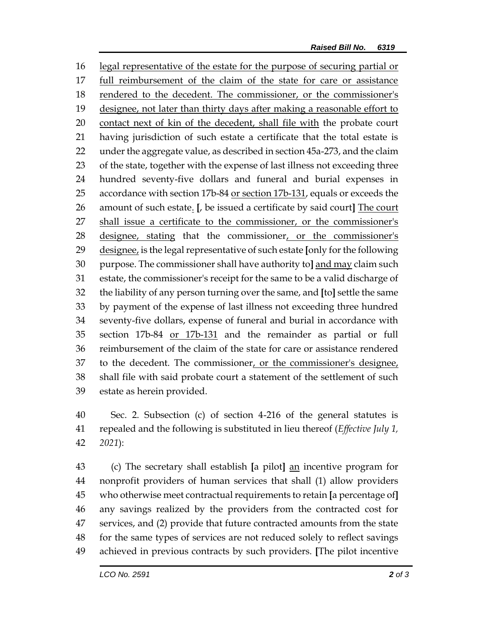legal representative of the estate for the purpose of securing partial or full reimbursement of the claim of the state for care or assistance rendered to the decedent. The commissioner, or the commissioner's designee, not later than thirty days after making a reasonable effort to contact next of kin of the decedent, shall file with the probate court having jurisdiction of such estate a certificate that the total estate is under the aggregate value, as described in section 45a-273, and the claim of the state, together with the expense of last illness not exceeding three hundred seventy-five dollars and funeral and burial expenses in 25 accordance with section 17b-84 or section 17b-131, equals or exceeds the amount of such estate. **[**, be issued a certificate by said court**]** The court shall issue a certificate to the commissioner, or the commissioner's designee, stating that the commissioner, or the commissioner's designee, is the legal representative of such estate **[**only for the following purpose. The commissioner shall have authority to**]** and may claim such estate, the commissioner's receipt for the same to be a valid discharge of the liability of any person turning over the same, and **[**to**]** settle the same by payment of the expense of last illness not exceeding three hundred seventy-five dollars, expense of funeral and burial in accordance with section 17b-84 or 17b-131 and the remainder as partial or full reimbursement of the claim of the state for care or assistance rendered 37 to the decedent. The commissioner, or the commissioner's designee, shall file with said probate court a statement of the settlement of such estate as herein provided.

 Sec. 2. Subsection (c) of section 4-216 of the general statutes is repealed and the following is substituted in lieu thereof (*Effective July 1, 2021*):

 (c) The secretary shall establish **[**a pilot**]** an incentive program for nonprofit providers of human services that shall (1) allow providers who otherwise meet contractual requirements to retain **[**a percentage of**]** any savings realized by the providers from the contracted cost for services, and (2) provide that future contracted amounts from the state for the same types of services are not reduced solely to reflect savings achieved in previous contracts by such providers. **[**The pilot incentive